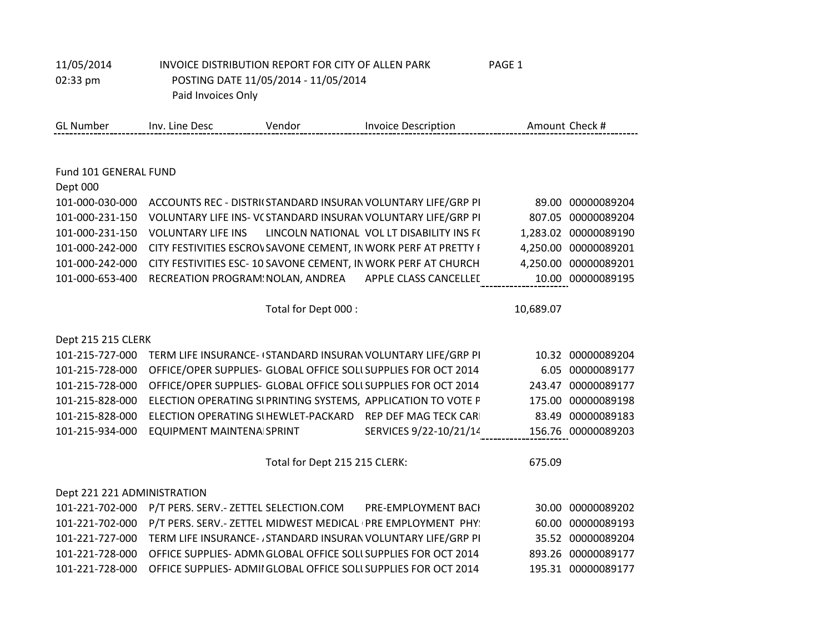| 11/05/2014                  | INVOICE DISTRIBUTION REPORT FOR CITY OF ALLEN PARK              |                               |                                                                | PAGE 1    |                      |
|-----------------------------|-----------------------------------------------------------------|-------------------------------|----------------------------------------------------------------|-----------|----------------------|
| 02:33 pm                    | POSTING DATE 11/05/2014 - 11/05/2014                            |                               |                                                                |           |                      |
|                             | Paid Invoices Only                                              |                               |                                                                |           |                      |
|                             |                                                                 |                               |                                                                |           |                      |
| <b>GL Number</b>            | Inv. Line Desc                                                  | Vendor                        | <b>Invoice Description</b>                                     |           | Amount Check #       |
|                             |                                                                 |                               |                                                                |           |                      |
| Fund 101 GENERAL FUND       |                                                                 |                               |                                                                |           |                      |
| Dept 000                    |                                                                 |                               |                                                                |           |                      |
| 101-000-030-000             |                                                                 |                               | ACCOUNTS REC - DISTRI(STANDARD INSURAN VOLUNTARY LIFE/GRP PI   |           | 89.00 00000089204    |
| 101-000-231-150             |                                                                 |                               | VOLUNTARY LIFE INS- V(STANDARD INSURAN VOLUNTARY LIFE/GRP PI   |           | 807.05 00000089204   |
| 101-000-231-150             | <b>VOLUNTARY LIFE INS</b>                                       |                               | LINCOLN NATIONAL VOL LT DISABILITY INS F(                      |           | 1,283.02 00000089190 |
| 101-000-242-000             |                                                                 |                               | CITY FESTIVITIES ESCROVSAVONE CEMENT, IN WORK PERF AT PRETTY I |           | 4,250.00 00000089201 |
| 101-000-242-000             | CITY FESTIVITIES ESC- 10 SAVONE CEMENT, IN WORK PERF AT CHURCH  |                               |                                                                |           | 4,250.00 00000089201 |
| 101-000-653-400             |                                                                 |                               | RECREATION PROGRAM! NOLAN, ANDREA APPLE CLASS CANCELLEL        |           | 10.00 00000089195    |
|                             |                                                                 |                               |                                                                |           |                      |
|                             |                                                                 | Total for Dept 000 :          |                                                                | 10,689.07 |                      |
|                             |                                                                 |                               |                                                                |           |                      |
| Dept 215 215 CLERK          |                                                                 |                               |                                                                |           |                      |
| 101-215-727-000             |                                                                 |                               | TERM LIFE INSURANCE- (STANDARD INSURAN VOLUNTARY LIFE/GRP PI   |           | 10.32 00000089204    |
| 101-215-728-000             | OFFICE/OPER SUPPLIES- GLOBAL OFFICE SOLL SUPPLIES FOR OCT 2014  |                               |                                                                |           | 6.05 00000089177     |
| 101-215-728-000             | OFFICE/OPER SUPPLIES- GLOBAL OFFICE SOLI SUPPLIES FOR OCT 2014  |                               |                                                                |           | 243.47 00000089177   |
| 101-215-828-000             |                                                                 |                               | ELECTION OPERATING SIPRINTING SYSTEMS, APPLICATION TO VOTE P   |           | 175.00 00000089198   |
| 101-215-828-000             | ELECTION OPERATING SI HEWLET-PACKARD                            |                               | <b>REP DEF MAG TECK CARI</b>                                   |           | 83.49 00000089183    |
| 101-215-934-000             | EQUIPMENT MAINTENA SPRINT                                       |                               | SERVICES 9/22-10/21/14                                         |           | 156.76 00000089203   |
|                             |                                                                 | Total for Dept 215 215 CLERK: |                                                                | 675.09    |                      |
|                             |                                                                 |                               |                                                                |           |                      |
| Dept 221 221 ADMINISTRATION |                                                                 |                               |                                                                |           |                      |
| 101-221-702-000             | P/T PERS. SERV.- ZETTEL SELECTION.COM                           |                               | PRE-EMPLOYMENT BACI                                            |           | 30.00 00000089202    |
| 101-221-702-000             |                                                                 |                               | P/T PERS. SERV.- ZETTEL MIDWEST MEDICAL (PRE EMPLOYMENT PHY:   |           | 60.00 00000089193    |
| 101-221-727-000             |                                                                 |                               | TERM LIFE INSURANCE-, STANDARD INSURAN VOLUNTARY LIFE/GRP PI   |           | 35.52 00000089204    |
| 101-221-728-000             | OFFICE SUPPLIES- ADMN GLOBAL OFFICE SOLL SUPPLIES FOR OCT 2014  |                               |                                                                |           | 893.26 00000089177   |
| 101-221-728-000             | OFFICE SUPPLIES- ADMII GLOBAL OFFICE SOLL SUPPLIES FOR OCT 2014 |                               |                                                                |           | 195.31 00000089177   |
|                             |                                                                 |                               |                                                                |           |                      |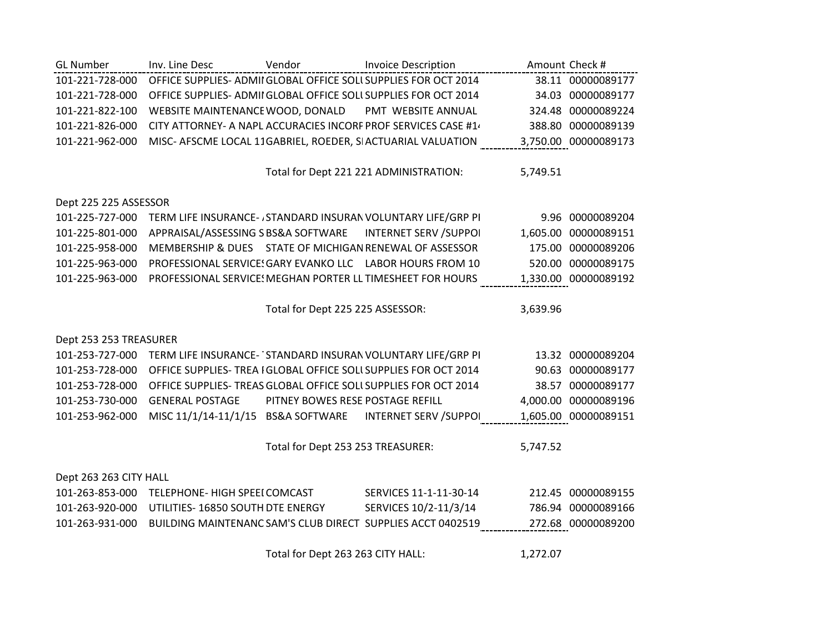| <b>GL Number</b>       | Inv. Line Desc                      | Vendor                            | <b>Invoice Description</b>                                       |          | Amount Check #       |
|------------------------|-------------------------------------|-----------------------------------|------------------------------------------------------------------|----------|----------------------|
| 101-221-728-000        |                                     |                                   | OFFICE SUPPLIES- ADMII GLOBAL OFFICE SOLL SUPPLIES FOR OCT 2014  |          | 38.11 00000089177    |
| 101-221-728-000        |                                     |                                   | OFFICE SUPPLIES- ADMII GLOBAL OFFICE SOLL SUPPLIES FOR OCT 2014  |          | 34.03 00000089177    |
| 101-221-822-100        | WEBSITE MAINTENANCE WOOD, DONALD    |                                   | PMT WEBSITE ANNUAL                                               |          | 324.48 00000089224   |
| 101-221-826-000        |                                     |                                   | CITY ATTORNEY- A NAPL ACCURACIES INCORF PROF SERVICES CASE #14   |          | 388.80 00000089139   |
| 101-221-962-000        |                                     |                                   | MISC- AFSCME LOCAL 11GABRIEL, ROEDER, SIACTUARIAL VALUATION      |          | 3,750.00 00000089173 |
|                        |                                     |                                   |                                                                  |          |                      |
|                        |                                     |                                   | Total for Dept 221 221 ADMINISTRATION:                           | 5,749.51 |                      |
|                        |                                     |                                   |                                                                  |          |                      |
| Dept 225 225 ASSESSOR  |                                     |                                   |                                                                  |          |                      |
| 101-225-727-000        |                                     |                                   | TERM LIFE INSURANCE- , STANDARD INSURAN VOLUNTARY LIFE/GRP PI    |          | 9.96 00000089204     |
| 101-225-801-000        | APPRAISAL/ASSESSING S BS&A SOFTWARE |                                   | <b>INTERNET SERV / SUPPOI</b>                                    | 1,605.00 | 00000089151          |
| 101-225-958-000        |                                     |                                   | MEMBERSHIP & DUES STATE OF MICHIGAN RENEWAL OF ASSESSOR          | 175.00   | 00000089206          |
| 101-225-963-000        |                                     |                                   | PROFESSIONAL SERVICE! GARY EVANKO LLC LABOR HOURS FROM 10        |          | 520.00 00000089175   |
| 101-225-963-000        |                                     |                                   | PROFESSIONAL SERVICE: MEGHAN PORTER LL TIMESHEET FOR HOURS       |          | 1,330.00 00000089192 |
|                        |                                     |                                   |                                                                  |          |                      |
|                        |                                     | Total for Dept 225 225 ASSESSOR:  |                                                                  | 3,639.96 |                      |
|                        |                                     |                                   |                                                                  |          |                      |
| Dept 253 253 TREASURER |                                     |                                   |                                                                  |          |                      |
| 101-253-727-000        |                                     |                                   | TERM LIFE INSURANCE-' STANDARD INSURAN VOLUNTARY LIFE/GRP PI     |          | 13.32 00000089204    |
| 101-253-728-000        |                                     |                                   | OFFICE SUPPLIES- TREA I GLOBAL OFFICE SOLL SUPPLIES FOR OCT 2014 |          | 90.63 00000089177    |
| 101-253-728-000        |                                     |                                   | OFFICE SUPPLIES- TREAS GLOBAL OFFICE SOLL SUPPLIES FOR OCT 2014  |          | 38.57 00000089177    |
| 101-253-730-000        | <b>GENERAL POSTAGE</b>              | PITNEY BOWES RESE POSTAGE REFILL  |                                                                  | 4,000.00 | 00000089196          |
| 101-253-962-000        | MISC 11/1/14-11/1/15 BS&A SOFTWARE  |                                   | <b>INTERNET SERV / SUPPOI</b>                                    |          | 1,605.00 00000089151 |
|                        |                                     |                                   |                                                                  |          |                      |
|                        |                                     | Total for Dept 253 253 TREASURER: |                                                                  | 5,747.52 |                      |
| Dept 263 263 CITY HALL |                                     |                                   |                                                                  |          |                      |
| 101-263-853-000        | TELEPHONE- HIGH SPEEI COMCAST       |                                   | SERVICES 11-1-11-30-14                                           |          | 212.45 00000089155   |
| 101-263-920-000        | UTILITIES-16850 SOUTH DTE ENERGY    |                                   | SERVICES 10/2-11/3/14                                            | 786.94   | 00000089166          |
| 101-263-931-000        |                                     |                                   | BUILDING MAINTENANC SAM'S CLUB DIRECT SUPPLIES ACCT 0402519      |          | 272.68 00000089200   |
|                        |                                     |                                   |                                                                  |          |                      |
|                        |                                     |                                   |                                                                  |          |                      |

Total for Dept 263 263 CITY HALL: 1,272.07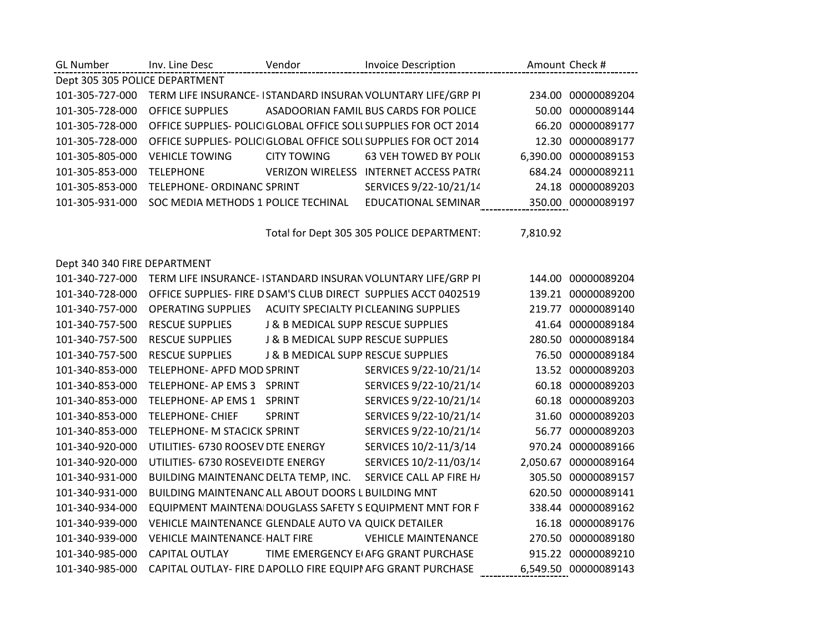| <b>GL Number</b>               | Inv. Line Desc                                              | Vendor                             | <b>Invoice Description</b>                                       |          | Amount Check #       |
|--------------------------------|-------------------------------------------------------------|------------------------------------|------------------------------------------------------------------|----------|----------------------|
| Dept 305 305 POLICE DEPARTMENT |                                                             |                                    |                                                                  |          |                      |
| 101-305-727-000                |                                                             |                                    | TERM LIFE INSURANCE- ISTANDARD INSURAN VOLUNTARY LIFE/GRP PI     |          | 234.00 00000089204   |
| 101-305-728-000                | <b>OFFICE SUPPLIES</b>                                      |                                    | ASADOORIAN FAMIL BUS CARDS FOR POLICE                            | 50.00    | 00000089144          |
| 101-305-728-000                |                                                             |                                    | OFFICE SUPPLIES- POLICI GLOBAL OFFICE SOLL SUPPLIES FOR OCT 2014 | 66.20    | 00000089177          |
| 101-305-728-000                |                                                             |                                    | OFFICE SUPPLIES- POLICI GLOBAL OFFICE SOLI SUPPLIES FOR OCT 2014 |          | 12.30 00000089177    |
| 101-305-805-000                | <b>VEHICLE TOWING</b>                                       | <b>CITY TOWING</b>                 | <b>63 VEH TOWED BY POLK</b>                                      |          | 6,390.00 00000089153 |
| 101-305-853-000                | <b>TELEPHONE</b>                                            |                                    | <b>VERIZON WIRELESS INTERNET ACCESS PATRO</b>                    | 684.24   | 00000089211          |
| 101-305-853-000                | TELEPHONE- ORDINANC SPRINT                                  |                                    | SERVICES 9/22-10/21/14                                           |          | 24.18 00000089203    |
| 101-305-931-000                | SOC MEDIA METHODS 1 POLICE TECHINAL                         |                                    | <b>EDUCATIONAL SEMINAR</b>                                       |          | 350.00 00000089197   |
|                                |                                                             |                                    |                                                                  |          |                      |
|                                |                                                             |                                    | Total for Dept 305 305 POLICE DEPARTMENT:                        | 7,810.92 |                      |
|                                |                                                             |                                    |                                                                  |          |                      |
| Dept 340 340 FIRE DEPARTMENT   |                                                             |                                    |                                                                  |          |                      |
| 101-340-727-000                |                                                             |                                    | TERM LIFE INSURANCE- ISTANDARD INSURAN VOLUNTARY LIFE/GRP PI     |          | 144.00 00000089204   |
| 101-340-728-000                |                                                             |                                    | OFFICE SUPPLIES- FIRE D SAM'S CLUB DIRECT SUPPLIES ACCT 0402519  |          | 139.21 00000089200   |
| 101-340-757-000                | <b>OPERATING SUPPLIES</b>                                   |                                    | <b>ACUITY SPECIALTY PICLEANING SUPPLIES</b>                      |          | 219.77 00000089140   |
| 101-340-757-500                | <b>RESCUE SUPPLIES</b>                                      | J & B MEDICAL SUPP RESCUE SUPPLIES |                                                                  |          | 41.64 00000089184    |
| 101-340-757-500                | <b>RESCUE SUPPLIES</b>                                      | J & B MEDICAL SUPP RESCUE SUPPLIES |                                                                  |          | 280.50 00000089184   |
| 101-340-757-500                | <b>RESCUE SUPPLIES</b>                                      | J & B MEDICAL SUPP RESCUE SUPPLIES |                                                                  |          | 76.50 00000089184    |
| 101-340-853-000                | TELEPHONE- APFD MOD SPRINT                                  |                                    | SERVICES 9/22-10/21/14                                           |          | 13.52 00000089203    |
| 101-340-853-000                | TELEPHONE- AP EMS 3                                         | <b>SPRINT</b>                      | SERVICES 9/22-10/21/14                                           | 60.18    | 00000089203          |
| 101-340-853-000                | TELEPHONE- AP EMS 1                                         | <b>SPRINT</b>                      | SERVICES 9/22-10/21/14                                           |          | 60.18 00000089203    |
| 101-340-853-000                | <b>TELEPHONE- CHIEF</b>                                     | <b>SPRINT</b>                      | SERVICES 9/22-10/21/14                                           |          | 31.60 00000089203    |
| 101-340-853-000                | TELEPHONE- M STACICK SPRINT                                 |                                    | SERVICES 9/22-10/21/14                                           |          | 56.77 00000089203    |
| 101-340-920-000                | UTILITIES- 6730 ROOSEV DTE ENERGY                           |                                    | SERVICES 10/2-11/3/14                                            |          | 970.24 00000089166   |
| 101-340-920-000                | UTILITIES- 6730 ROSEVEI DTE ENERGY                          |                                    | SERVICES 10/2-11/03/14                                           |          | 2,050.67 00000089164 |
| 101-340-931-000                | BUILDING MAINTENANC DELTA TEMP, INC.                        |                                    | SERVICE CALL AP FIRE H/                                          | 305.50   | 00000089157          |
| 101-340-931-000                | BUILDING MAINTENANC ALL ABOUT DOORS L BUILDING MNT          |                                    |                                                                  |          | 620.50 00000089141   |
| 101-340-934-000                |                                                             |                                    | EQUIPMENT MAINTENA DOUGLASS SAFETY S EQUIPMENT MNT FOR F         |          | 338.44 00000089162   |
| 101-340-939-000                | VEHICLE MAINTENANCE GLENDALE AUTO VAI QUICK DETAILER        |                                    |                                                                  |          | 16.18 00000089176    |
| 101-340-939-000                | <b>VEHICLE MAINTENANCE HALT FIRE</b>                        |                                    | <b>VEHICLE MAINTENANCE</b>                                       |          | 270.50 00000089180   |
| 101-340-985-000                | <b>CAPITAL OUTLAY</b>                                       |                                    | TIME EMERGENCY EI AFG GRANT PURCHASE                             |          | 915.22 00000089210   |
| 101-340-985-000                | CAPITAL OUTLAY- FIRE DAPOLLO FIRE EQUIPI AFG GRANT PURCHASE |                                    |                                                                  |          | 6,549.50 00000089143 |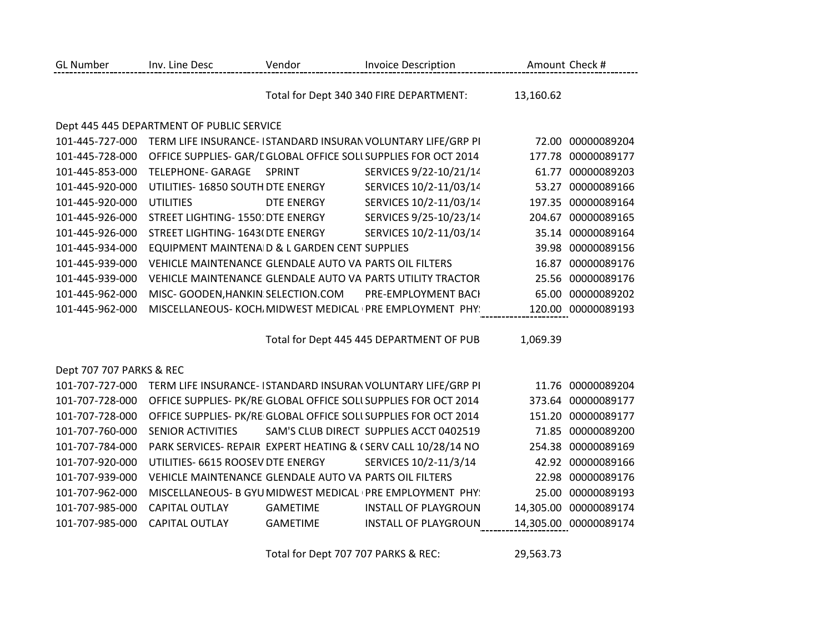| <b>GL Number</b>         | Inv. Line Desc                                          | Vendor            | <b>Invoice Description</b>                                      |           | Amount Check #        |
|--------------------------|---------------------------------------------------------|-------------------|-----------------------------------------------------------------|-----------|-----------------------|
|                          |                                                         |                   | Total for Dept 340 340 FIRE DEPARTMENT:                         | 13,160.62 |                       |
|                          | Dept 445 445 DEPARTMENT OF PUBLIC SERVICE               |                   |                                                                 |           |                       |
| 101-445-727-000          |                                                         |                   | TERM LIFE INSURANCE- ISTANDARD INSURAN VOLUNTARY LIFE/GRP PI    | 72.00     | 00000089204           |
| 101-445-728-000          |                                                         |                   | OFFICE SUPPLIES- GAR/L GLOBAL OFFICE SOLL SUPPLIES FOR OCT 2014 | 177.78    | 00000089177           |
| 101-445-853-000          | <b>TELEPHONE- GARAGE</b>                                | SPRINT            | SERVICES 9/22-10/21/14                                          |           | 61.77 00000089203     |
| 101-445-920-000          | UTILITIES-16850 SOUTH DTE ENERGY                        |                   | SERVICES 10/2-11/03/14                                          | 53.27     | 00000089166           |
| 101-445-920-000          | <b>UTILITIES</b>                                        | <b>DTE ENERGY</b> | SERVICES 10/2-11/03/14                                          | 197.35    | 00000089164           |
| 101-445-926-000          | STREET LIGHTING- 1550: DTE ENERGY                       |                   | SERVICES 9/25-10/23/14                                          |           | 204.67 00000089165    |
| 101-445-926-000          | STREET LIGHTING- 1643(DTE ENERGY                        |                   | SERVICES 10/2-11/03/14                                          |           | 35.14 00000089164     |
| 101-445-934-000          | EQUIPMENT MAINTENA D & L GARDEN CENT SUPPLIES           |                   |                                                                 |           | 39.98 00000089156     |
| 101-445-939-000          | VEHICLE MAINTENANCE GLENDALE AUTO VAI PARTS OIL FILTERS |                   |                                                                 | 16.87     | 00000089176           |
| 101-445-939-000          |                                                         |                   | VEHICLE MAINTENANCE GLENDALE AUTO VAI PARTS UTILITY TRACTOR     | 25.56     | 00000089176           |
| 101-445-962-000          | MISC- GOODEN, HANKIN SELECTION.COM                      |                   | PRE-EMPLOYMENT BACI                                             | 65.00     | 00000089202           |
| 101-445-962-000          |                                                         |                   | MISCELLANEOUS- KOCH, MIDWEST MEDICAL (PRE EMPLOYMENT PHY)       |           | 120.00 00000089193    |
|                          |                                                         |                   |                                                                 | 1,069.39  |                       |
|                          |                                                         |                   | Total for Dept 445 445 DEPARTMENT OF PUB                        |           |                       |
| Dept 707 707 PARKS & REC |                                                         |                   |                                                                 |           |                       |
| 101-707-727-000          |                                                         |                   | TERM LIFE INSURANCE- ISTANDARD INSURAN VOLUNTARY LIFE/GRP PI    |           | 11.76 00000089204     |
| 101-707-728-000          |                                                         |                   | OFFICE SUPPLIES- PK/RE GLOBAL OFFICE SOLL SUPPLIES FOR OCT 2014 |           | 373.64 00000089177    |
| 101-707-728-000          |                                                         |                   | OFFICE SUPPLIES- PK/RE GLOBAL OFFICE SOLL SUPPLIES FOR OCT 2014 | 151.20    | 00000089177           |
| 101-707-760-000          | SENIOR ACTIVITIES                                       |                   | SAM'S CLUB DIRECT SUPPLIES ACCT 0402519                         | 71.85     | 00000089200           |
| 101-707-784-000          |                                                         |                   | PARK SERVICES- REPAIR EXPERT HEATING & (SERV CALL 10/28/14 NO   | 254.38    | 00000089169           |
| 101-707-920-000          | UTILITIES- 6615 ROOSEV DTE ENERGY                       |                   | SERVICES 10/2-11/3/14                                           |           | 42.92 00000089166     |
| 101-707-939-000          | VEHICLE MAINTENANCE GLENDALE AUTO VAI PARTS OIL FILTERS |                   |                                                                 |           | 22.98 00000089176     |
| 101-707-962-000          |                                                         |                   | MISCELLANEOUS- B GYU MIDWEST MEDICAL (PRE EMPLOYMENT PHY)       | 25.00     | 00000089193           |
| 101-707-985-000          | <b>CAPITAL OUTLAY</b>                                   | <b>GAMETIME</b>   | <b>INSTALL OF PLAYGROUN</b>                                     | 14,305.00 | 00000089174           |
| 101-707-985-000          | <b>CAPITAL OUTLAY</b>                                   | <b>GAMETIME</b>   | <b>INSTALL OF PLAYGROUN</b>                                     |           | 14,305.00 00000089174 |
|                          |                                                         |                   |                                                                 |           |                       |

Total for Dept 707 707 PARKS & REC: 29,563.73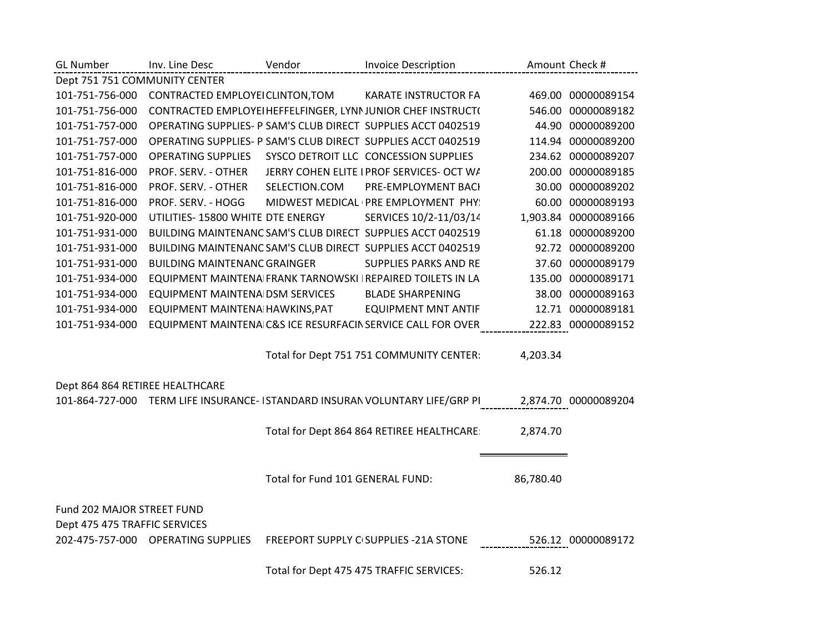| <b>GL Number</b>                | Inv. Line Desc                      | Vendor                           | <b>Invoice Description</b>                                                                        |                    | Amount Check #       |
|---------------------------------|-------------------------------------|----------------------------------|---------------------------------------------------------------------------------------------------|--------------------|----------------------|
| Dept 751 751 COMMUNITY CENTER   |                                     |                                  |                                                                                                   |                    |                      |
| 101-751-756-000                 | CONTRACTED EMPLOYEI CLINTON, TOM    |                                  | <b>KARATE INSTRUCTOR FA</b>                                                                       |                    | 469.00 00000089154   |
| 101-751-756-000                 |                                     |                                  | CONTRACTED EMPLOYEI HEFFELFINGER, LYNNJUNIOR CHEF INSTRUCT(                                       |                    | 546.00 00000089182   |
| 101-751-757-000                 |                                     |                                  | OPERATING SUPPLIES- P SAM'S CLUB DIRECT SUPPLIES ACCT 0402519                                     |                    | 44.90 00000089200    |
| 101-751-757-000                 |                                     |                                  | OPERATING SUPPLIES- P SAM'S CLUB DIRECT SUPPLIES ACCT 0402519                                     |                    | 114.94 00000089200   |
| 101-751-757-000                 | OPERATING SUPPLIES                  |                                  | SYSCO DETROIT LLC CONCESSION SUPPLIES                                                             |                    | 234.62 00000089207   |
| 101-751-816-000                 | PROF. SERV. - OTHER                 |                                  | JERRY COHEN ELITE I PROF SERVICES- OCT W/                                                         |                    | 200.00 00000089185   |
| 101-751-816-000                 | PROF. SERV. - OTHER                 | SELECTION.COM                    | PRE-EMPLOYMENT BACI                                                                               |                    | 30.00 00000089202    |
| 101-751-816-000                 | PROF. SERV. - HOGG                  |                                  | MIDWEST MEDICAL (PRE EMPLOYMENT PHY:                                                              |                    | 60.00 00000089193    |
| 101-751-920-000                 | UTILITIES- 15800 WHITE DTE ENERGY   |                                  | SERVICES 10/2-11/03/14                                                                            |                    | 1,903.84 00000089166 |
| 101-751-931-000                 |                                     |                                  | BUILDING MAINTENANC SAM'S CLUB DIRECT SUPPLIES ACCT 0402519                                       |                    | 61.18 00000089200    |
| 101-751-931-000                 |                                     |                                  | BUILDING MAINTENANC SAM'S CLUB DIRECT SUPPLIES ACCT 0402519                                       |                    | 92.72 00000089200    |
| 101-751-931-000                 | <b>BUILDING MAINTENANC GRAINGER</b> |                                  | SUPPLIES PARKS AND RE                                                                             |                    | 37.60 00000089179    |
| 101-751-934-000                 |                                     |                                  | EQUIPMENT MAINTENA FRANK TARNOWSKI IREPAIRED TOILETS IN LA                                        |                    | 135.00 00000089171   |
| 101-751-934-000                 | EQUIPMENT MAINTENA DSM SERVICES     |                                  | <b>BLADE SHARPENING</b>                                                                           |                    | 38.00 00000089163    |
| 101-751-934-000                 | EQUIPMENT MAINTENA HAWKINS, PAT     |                                  | <b>EQUIPMENT MNT ANTIF</b>                                                                        |                    | 12.71 00000089181    |
| 101-751-934-000                 |                                     |                                  | EQUIPMENT MAINTENA C&S ICE RESURFACIN SERVICE CALL FOR OVER                                       |                    | 222.83 00000089152   |
|                                 |                                     |                                  |                                                                                                   |                    |                      |
|                                 |                                     |                                  | Total for Dept 751 751 COMMUNITY CENTER:                                                          | 4,203.34           |                      |
| Dept 864 864 RETIREE HEALTHCARE |                                     |                                  |                                                                                                   |                    |                      |
|                                 |                                     |                                  | 101-864-727-000 TERM LIFE INSURANCE- ISTANDARD INSURAN VOLUNTARY LIFE/GRP PI 2,874.70 00000089204 |                    |                      |
|                                 |                                     |                                  |                                                                                                   |                    |                      |
|                                 |                                     |                                  | Total for Dept 864 864 RETIREE HEALTHCARE:                                                        | 2,874.70           |                      |
|                                 |                                     |                                  |                                                                                                   |                    |                      |
|                                 |                                     |                                  |                                                                                                   |                    |                      |
|                                 |                                     | Total for Fund 101 GENERAL FUND: |                                                                                                   | 86,780.40          |                      |
| Fund 202 MAJOR STREET FUND      |                                     |                                  |                                                                                                   |                    |                      |
| Dept 475 475 TRAFFIC SERVICES   |                                     |                                  |                                                                                                   |                    |                      |
|                                 | 202-475-757-000 OPERATING SUPPLIES  |                                  | FREEPORT SUPPLY CISUPPLIES - 21A STONE                                                            | 526.12 00000089172 |                      |
|                                 |                                     |                                  | Total for Dept 475 475 TRAFFIC SERVICES:                                                          | 526.12             |                      |
|                                 |                                     |                                  |                                                                                                   |                    |                      |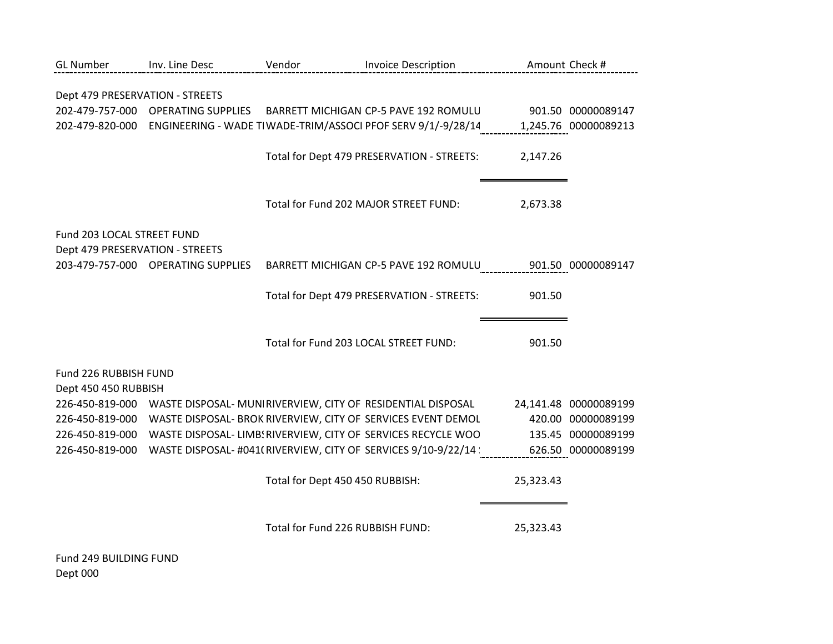| <b>GL Number</b>                | Inv. Line Desc                                                              | Vendor                                | <b>Invoice Description</b>                                                                        |                    | Amount Check #        |
|---------------------------------|-----------------------------------------------------------------------------|---------------------------------------|---------------------------------------------------------------------------------------------------|--------------------|-----------------------|
|                                 |                                                                             |                                       |                                                                                                   |                    |                       |
| Dept 479 PRESERVATION - STREETS |                                                                             |                                       |                                                                                                   |                    |                       |
|                                 | 202-479-757-000 OPERATING SUPPLIES                                          |                                       | BARRETT MICHIGAN CP-5 PAVE 192 ROMULU 901.50 00000089147                                          |                    |                       |
|                                 |                                                                             |                                       | 202-479-820-000 ENGINEERING - WADE TIWADE-TRIM/ASSOCI PFOF SERV 9/1/-9/28/14 1,245.76 00000089213 |                    |                       |
|                                 |                                                                             |                                       |                                                                                                   |                    |                       |
|                                 |                                                                             |                                       | Total for Dept 479 PRESERVATION - STREETS:                                                        | 2,147.26           |                       |
|                                 |                                                                             |                                       |                                                                                                   |                    |                       |
|                                 |                                                                             |                                       |                                                                                                   |                    |                       |
|                                 |                                                                             |                                       | Total for Fund 202 MAJOR STREET FUND:                                                             | 2,673.38           |                       |
|                                 |                                                                             |                                       |                                                                                                   |                    |                       |
| Fund 203 LOCAL STREET FUND      |                                                                             |                                       |                                                                                                   |                    |                       |
| Dept 479 PRESERVATION - STREETS | 203-479-757-000 OPERATING SUPPLIES                                          |                                       | BARRETT MICHIGAN CP-5 PAVE 192 ROMULU 901.50 00000089147                                          |                    |                       |
|                                 |                                                                             |                                       |                                                                                                   |                    |                       |
|                                 |                                                                             |                                       | Total for Dept 479 PRESERVATION - STREETS:                                                        | 901.50             |                       |
|                                 |                                                                             |                                       |                                                                                                   |                    |                       |
|                                 |                                                                             |                                       |                                                                                                   |                    |                       |
|                                 |                                                                             | Total for Fund 203 LOCAL STREET FUND: |                                                                                                   | 901.50             |                       |
|                                 |                                                                             |                                       |                                                                                                   |                    |                       |
| Fund 226 RUBBISH FUND           |                                                                             |                                       |                                                                                                   |                    |                       |
| Dept 450 450 RUBBISH            |                                                                             |                                       |                                                                                                   |                    |                       |
|                                 | 226-450-819-000 WASTE DISPOSAL- MUNIRIVERVIEW, CITY OF RESIDENTIAL DISPOSAL |                                       |                                                                                                   |                    | 24,141.48 00000089199 |
|                                 |                                                                             |                                       | 226-450-819-000 WASTE DISPOSAL- BROK RIVERVIEW, CITY OF SERVICES EVENT DEMOL                      |                    | 420.00 00000089199    |
| 226-450-819-000                 |                                                                             |                                       | WASTE DISPOSAL- LIMB: RIVERVIEW, CITY OF SERVICES RECYCLE WOO                                     |                    | 135.45 00000089199    |
| 226-450-819-000                 |                                                                             |                                       | WASTE DISPOSAL- #041(RIVERVIEW, CITY OF SERVICES 9/10-9/22/14                                     | 626.50 00000089199 |                       |
|                                 |                                                                             |                                       |                                                                                                   |                    |                       |
|                                 |                                                                             | Total for Dept 450 450 RUBBISH:       |                                                                                                   | 25,323.43          |                       |
|                                 |                                                                             |                                       |                                                                                                   |                    |                       |
|                                 |                                                                             |                                       |                                                                                                   |                    |                       |
|                                 |                                                                             | Total for Fund 226 RUBBISH FUND:      |                                                                                                   | 25,323.43          |                       |
|                                 |                                                                             |                                       |                                                                                                   |                    |                       |

Fund 249 BUILDING FUND Dept 000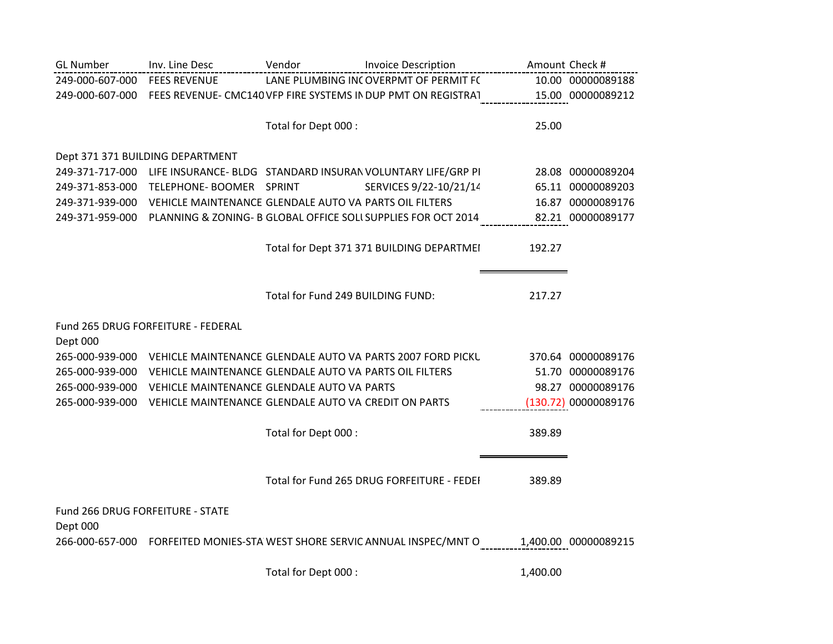| <b>GL Number</b>                 | Inv. Line Desc                                                          | Vendor                            | <b>Invoice Description</b>                                                                      | Amount Check # |                      |
|----------------------------------|-------------------------------------------------------------------------|-----------------------------------|-------------------------------------------------------------------------------------------------|----------------|----------------------|
| 249-000-607-000 FEES REVENUE     |                                                                         |                                   | LANE PLUMBING INCOVERPMT OF PERMIT FC                                                           |                | 10.00 00000089188    |
|                                  |                                                                         |                                   | 249-000-607-000 FEES REVENUE- CMC140 VFP FIRE SYSTEMS IN DUP PMT ON REGISTRAT 15.00 00000089212 |                |                      |
|                                  |                                                                         |                                   |                                                                                                 |                |                      |
|                                  |                                                                         | Total for Dept 000 :              |                                                                                                 | 25.00          |                      |
|                                  | Dept 371 371 BUILDING DEPARTMENT                                        |                                   |                                                                                                 |                |                      |
|                                  |                                                                         |                                   | 249-371-717-000 LIFE INSURANCE- BLDG STANDARD INSURAN VOLUNTARY LIFE/GRP PI                     |                | 28.08 00000089204    |
| 249-371-853-000                  | TELEPHONE- BOOMER SPRINT                                                |                                   | SERVICES 9/22-10/21/14                                                                          |                | 65.11 00000089203    |
|                                  | 249-371-939-000 VEHICLE MAINTENANCE GLENDALE AUTO VAI PARTS OIL FILTERS |                                   |                                                                                                 |                | 16.87 00000089176    |
|                                  |                                                                         |                                   | 249-371-959-000 PLANNING & ZONING- B GLOBAL OFFICE SOLI SUPPLIES FOR OCT 2014                   |                | 82.21 00000089177    |
|                                  |                                                                         |                                   |                                                                                                 |                |                      |
|                                  |                                                                         |                                   | Total for Dept 371 371 BUILDING DEPARTMEI                                                       | 192.27         |                      |
|                                  |                                                                         |                                   |                                                                                                 |                |                      |
|                                  |                                                                         | Total for Fund 249 BUILDING FUND: |                                                                                                 | 217.27         |                      |
|                                  |                                                                         |                                   |                                                                                                 |                |                      |
|                                  | Fund 265 DRUG FORFEITURE - FEDERAL                                      |                                   |                                                                                                 |                |                      |
| Dept 000                         |                                                                         |                                   |                                                                                                 |                |                      |
|                                  |                                                                         |                                   | 265-000-939-000 VEHICLE MAINTENANCE GLENDALE AUTO VAI PARTS 2007 FORD PICKL                     |                | 370.64 00000089176   |
|                                  | 265-000-939-000 VEHICLE MAINTENANCE GLENDALE AUTO VAI PARTS OIL FILTERS |                                   |                                                                                                 |                | 51.70 00000089176    |
| 265-000-939-000                  | VEHICLE MAINTENANCE GLENDALE AUTO VAI PARTS                             |                                   |                                                                                                 |                | 98.27 00000089176    |
|                                  | 265-000-939-000 VEHICLE MAINTENANCE GLENDALE AUTO VAI CREDIT ON PARTS   |                                   |                                                                                                 |                | (130.72) 00000089176 |
|                                  |                                                                         | Total for Dept 000 :              |                                                                                                 | 389.89         |                      |
|                                  |                                                                         |                                   |                                                                                                 |                |                      |
|                                  |                                                                         |                                   |                                                                                                 |                |                      |
|                                  |                                                                         |                                   | Total for Fund 265 DRUG FORFEITURE - FEDEI                                                      | 389.89         |                      |
| Fund 266 DRUG FORFEITURE - STATE |                                                                         |                                   |                                                                                                 |                |                      |
| Dept 000                         |                                                                         |                                   |                                                                                                 |                |                      |
|                                  |                                                                         |                                   | 266-000-657-000 FORFEITED MONIES-STA WEST SHORE SERVIC ANNUAL INSPEC/MNT O                      |                | 1,400.00 00000089215 |
|                                  |                                                                         |                                   |                                                                                                 |                |                      |

Total for Dept 000 : 1,400.00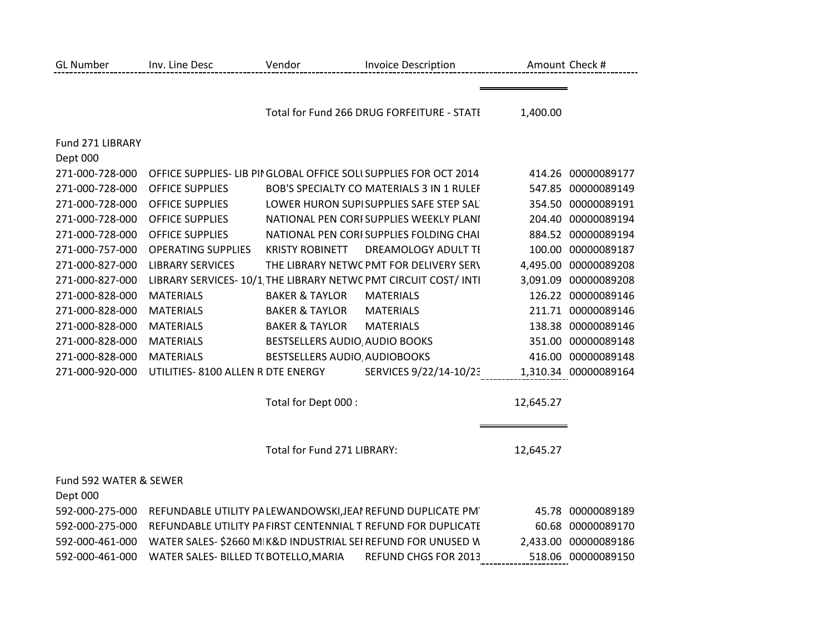| <b>GL Number</b>                   | Inv. Line Desc                       | Vendor                         | <b>Invoice Description</b>                                        |           | Amount Check #       |
|------------------------------------|--------------------------------------|--------------------------------|-------------------------------------------------------------------|-----------|----------------------|
|                                    |                                      |                                | Total for Fund 266 DRUG FORFEITURE - STATI                        | 1,400.00  |                      |
| Fund 271 LIBRARY                   |                                      |                                |                                                                   |           |                      |
| Dept 000                           |                                      |                                |                                                                   |           |                      |
| 271-000-728-000                    |                                      |                                | OFFICE SUPPLIES- LIB PII GLOBAL OFFICE SOLI SUPPLIES FOR OCT 2014 |           | 414.26 00000089177   |
| 271-000-728-000                    | <b>OFFICE SUPPLIES</b>               |                                | BOB'S SPECIALTY CO MATERIALS 3 IN 1 RULEF                         |           | 547.85 00000089149   |
| 271-000-728-000                    | <b>OFFICE SUPPLIES</b>               |                                | LOWER HURON SUPISUPPLIES SAFE STEP SAL                            | 354.50    | 00000089191          |
| 271-000-728-000                    | <b>OFFICE SUPPLIES</b>               |                                | NATIONAL PEN CORFSUPPLIES WEEKLY PLANI                            |           | 204.40 00000089194   |
| 271-000-728-000                    | <b>OFFICE SUPPLIES</b>               |                                | NATIONAL PEN CORI SUPPLIES FOLDING CHAI                           |           | 884.52 00000089194   |
| 271-000-757-000                    | <b>OPERATING SUPPLIES</b>            | <b>KRISTY ROBINETT</b>         | DREAMOLOGY ADULT TI                                               |           | 100.00 00000089187   |
| 271-000-827-000                    | <b>LIBRARY SERVICES</b>              |                                | THE LIBRARY NETWC PMT FOR DELIVERY SERV                           |           | 4,495.00 00000089208 |
| 271-000-827-000                    |                                      |                                | LIBRARY SERVICES-10/1 THE LIBRARY NETWC PMT CIRCUIT COST/INTI     | 3,091.09  | 00000089208          |
| 271-000-828-000                    | <b>MATERIALS</b>                     | <b>BAKER &amp; TAYLOR</b>      | <b>MATERIALS</b>                                                  |           | 126.22 00000089146   |
| 271-000-828-000                    | <b>MATERIALS</b>                     | <b>BAKER &amp; TAYLOR</b>      | <b>MATERIALS</b>                                                  |           | 211.71 00000089146   |
| 271-000-828-000                    | <b>MATERIALS</b>                     | <b>BAKER &amp; TAYLOR</b>      | <b>MATERIALS</b>                                                  |           | 138.38 00000089146   |
| 271-000-828-000                    | <b>MATERIALS</b>                     | BESTSELLERS AUDIO, AUDIO BOOKS |                                                                   |           | 351.00 00000089148   |
| 271-000-828-000                    | <b>MATERIALS</b>                     | BESTSELLERS AUDIO, AUDIOBOOKS  |                                                                   | 416.00    | 00000089148          |
| 271-000-920-000                    | UTILITIES- 8100 ALLEN R DTE ENERGY   |                                | SERVICES 9/22/14-10/23                                            |           | 1,310.34 00000089164 |
|                                    |                                      | Total for Dept 000 :           |                                                                   | 12,645.27 |                      |
|                                    |                                      | Total for Fund 271 LIBRARY:    |                                                                   | 12,645.27 |                      |
| Fund 592 WATER & SEWER<br>Dept 000 |                                      |                                |                                                                   |           |                      |
| 592-000-275-000                    |                                      |                                | REFUNDABLE UTILITY PA LEWANDOWSKI, JEAN REFUND DUPLICATE PM       |           | 45.78 00000089189    |
| 592-000-275-000                    |                                      |                                | REFUNDABLE UTILITY PA FIRST CENTENNIAL T REFUND FOR DUPLICATE     |           | 60.68 00000089170    |
| 592-000-461-000                    |                                      |                                | WATER SALES- \$2660 M K&D INDUSTRIAL SEI REFUND FOR UNUSED W      |           | 2,433.00 00000089186 |
| 592-000-461-000                    | WATER SALES- BILLED T(BOTELLO, MARIA |                                | REFUND CHGS FOR 2013                                              |           | 518.06 00000089150   |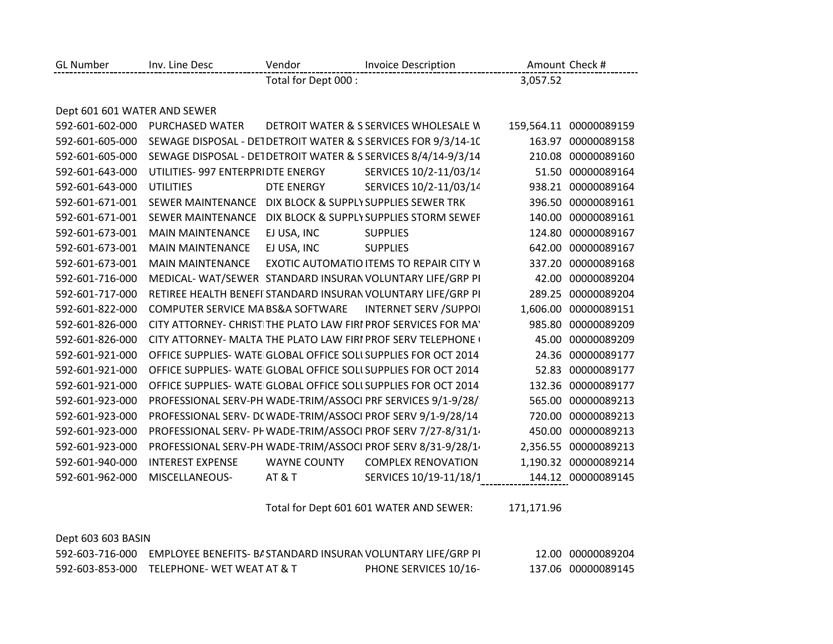| <b>GL Number</b>             | Inv. Line Desc                                          | Vendor               | <b>Invoice Description</b>                                         |          | Amount Check #         |
|------------------------------|---------------------------------------------------------|----------------------|--------------------------------------------------------------------|----------|------------------------|
|                              |                                                         | Total for Dept 000 : |                                                                    | 3,057.52 |                        |
|                              |                                                         |                      |                                                                    |          |                        |
| Dept 601 601 WATER AND SEWER |                                                         |                      |                                                                    |          |                        |
| 592-601-602-000              | PURCHASED WATER                                         |                      | DETROIT WATER & S SERVICES WHOLESALE W                             |          | 159,564.11 00000089159 |
| 592-601-605-000              |                                                         |                      | SEWAGE DISPOSAL - DETDETROIT WATER & S SERVICES FOR 9/3/14-10      | 163.97   | 00000089158            |
| 592-601-605-000              |                                                         |                      | SEWAGE DISPOSAL - DET DETROIT WATER & S SERVICES 8/4/14-9/3/14     |          | 210.08 00000089160     |
| 592-601-643-000              | UTILITIES- 997 ENTERPRIDTE ENERGY                       |                      | SERVICES 10/2-11/03/14                                             |          | 51.50 00000089164      |
| 592-601-643-000              | <b>UTILITIES</b>                                        | <b>DTE ENERGY</b>    | SERVICES 10/2-11/03/14                                             | 938.21   | 00000089164            |
| 592-601-671-001              | SEWER MAINTENANCE DIX BLOCK & SUPPLY SUPPLIES SEWER TRK |                      |                                                                    |          | 396.50 00000089161     |
| 592-601-671-001              | <b>SEWER MAINTENANCE</b>                                |                      | DIX BLOCK & SUPPLY SUPPLIES STORM SEWEF                            | 140.00   | 00000089161            |
| 592-601-673-001              | <b>MAIN MAINTENANCE</b>                                 | EJ USA, INC          | <b>SUPPLIES</b>                                                    | 124.80   | 00000089167            |
| 592-601-673-001              | <b>MAIN MAINTENANCE</b>                                 | EJ USA, INC          | <b>SUPPLIES</b>                                                    | 642.00   | 00000089167            |
| 592-601-673-001              | <b>MAIN MAINTENANCE</b>                                 |                      | <b>EXOTIC AUTOMATIO ITEMS TO REPAIR CITY W</b>                     | 337.20   | 00000089168            |
| 592-601-716-000              |                                                         |                      | MEDICAL-WAT/SEWER STANDARD INSURAN VOLUNTARY LIFE/GRP PI           | 42.00    | 00000089204            |
| 592-601-717-000              |                                                         |                      | RETIREE HEALTH BENEFI STANDARD INSURAN VOLUNTARY LIFE/GRP PI       | 289.25   | 00000089204            |
| 592-601-822-000              | COMPUTER SERVICE MA BS&A SOFTWARE                       |                      | <b>INTERNET SERV /SUPPOI</b>                                       |          | 1,606.00 00000089151   |
| 592-601-826-000              |                                                         |                      | CITY ATTORNEY- CHRIST THE PLATO LAW FIRI PROF SERVICES FOR MA'     | 985.80   | 00000089209            |
| 592-601-826-000              |                                                         |                      | <b>CITY ATTORNEY- MALTA THE PLATO LAW FIRI PROF SERV TELEPHONE</b> | 45.00    | 00000089209            |
| 592-601-921-000              |                                                         |                      | OFFICE SUPPLIES- WATE GLOBAL OFFICE SOLL SUPPLIES FOR OCT 2014     | 24.36    | 00000089177            |
| 592-601-921-000              |                                                         |                      | OFFICE SUPPLIES- WATE GLOBAL OFFICE SOLI SUPPLIES FOR OCT 2014     | 52.83    | 00000089177            |
| 592-601-921-000              |                                                         |                      | OFFICE SUPPLIES- WATE GLOBAL OFFICE SOLI SUPPLIES FOR OCT 2014     |          | 132.36 00000089177     |
| 592-601-923-000              |                                                         |                      | PROFESSIONAL SERV-PH WADE-TRIM/ASSOCI PRF SERVICES 9/1-9/28/       | 565.00   | 00000089213            |
| 592-601-923-000              |                                                         |                      | PROFESSIONAL SERV- D(WADE-TRIM/ASSOCI PROF SERV 9/1-9/28/14        | 720.00   | 00000089213            |
| 592-601-923-000              |                                                         |                      | PROFESSIONAL SERV- PF WADE-TRIM/ASSOCI PROF SERV 7/27-8/31/1.      | 450.00   | 00000089213            |
| 592-601-923-000              |                                                         |                      | PROFESSIONAL SERV-PH WADE-TRIM/ASSOCI PROF SERV 8/31-9/28/1.       | 2,356.55 | 00000089213            |
| 592-601-940-000              | <b>INTEREST EXPENSE</b>                                 | <b>WAYNE COUNTY</b>  | <b>COMPLEX RENOVATION</b>                                          | 1,190.32 | 00000089214            |
| 592-601-962-000              | MISCELLANEOUS-                                          | <b>AT &amp; T</b>    | SERVICES 10/19-11/18/1                                             |          | 144.12 00000089145     |

Total for Dept 601 601 WATER AND SEWER: 171,171.96

| Dept 603 603 BASIN |                                                              |                       |                    |
|--------------------|--------------------------------------------------------------|-----------------------|--------------------|
| 592-603-716-000    | EMPLOYEE BENEFITS- B/ STANDARD INSURAN VOLUNTARY LIFE/GRP PI |                       | 12.00 00000089204  |
|                    | 592-603-853-000 TELEPHONE-WET WEAT AT & T                    | PHONE SERVICES 10/16- | 137.06 00000089145 |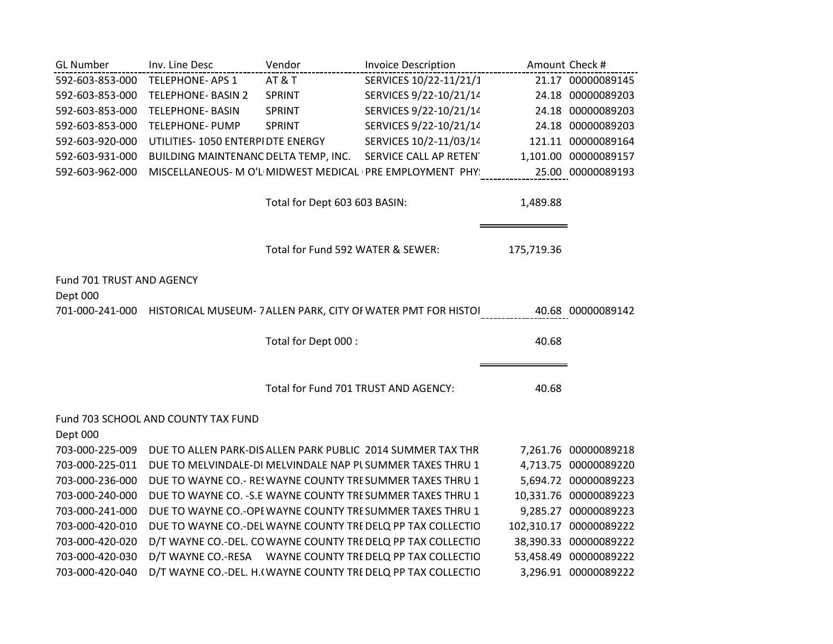| <b>GL Number</b>          | Inv. Line Desc                       | Vendor                               | <b>Invoice Description</b>                                    |            | Amount Check #        |
|---------------------------|--------------------------------------|--------------------------------------|---------------------------------------------------------------|------------|-----------------------|
| 592-603-853-000           | <b>TELEPHONE-APS 1</b>               | AT&T                                 | SERVICES 10/22-11/21/1                                        |            | 21.17 00000089145     |
| 592-603-853-000           | <b>TELEPHONE- BASIN 2</b>            | SPRINT                               | SERVICES 9/22-10/21/14                                        |            | 24.18 00000089203     |
| 592-603-853-000           | <b>TELEPHONE- BASIN</b>              | SPRINT                               | SERVICES 9/22-10/21/14                                        |            | 24.18 00000089203     |
| 592-603-853-000           | <b>TELEPHONE- PUMP</b>               | SPRINT                               | SERVICES 9/22-10/21/14                                        |            | 24.18 00000089203     |
| 592-603-920-000           | UTILITIES- 1050 ENTERPIDTE ENERGY    |                                      | SERVICES 10/2-11/03/14                                        |            | 121.11 00000089164    |
| 592-603-931-000           | BUILDING MAINTENANC DELTA TEMP, INC. |                                      | SERVICE CALL AP RETEN                                         |            | 1,101.00 00000089157  |
| 592-603-962-000           |                                      |                                      | MISCELLANEOUS- M O'L MIDWEST MEDICAL (PRE EMPLOYMENT PHY)     |            | 25.00 00000089193     |
|                           |                                      | Total for Dept 603 603 BASIN:        |                                                               | 1,489.88   |                       |
|                           |                                      | Total for Fund 592 WATER & SEWER:    |                                                               | 175,719.36 |                       |
| Fund 701 TRUST AND AGENCY |                                      |                                      |                                                               |            |                       |
| Dept 000                  |                                      |                                      |                                                               |            |                       |
| 701-000-241-000           |                                      |                                      | HISTORICAL MUSEUM- 7 ALLEN PARK, CITY OF WATER PMT FOR HISTOI |            | 40.68 00000089142     |
|                           |                                      |                                      |                                                               |            |                       |
|                           |                                      | Total for Dept 000 :                 |                                                               | 40.68      |                       |
|                           |                                      |                                      |                                                               |            |                       |
|                           |                                      | Total for Fund 701 TRUST AND AGENCY: |                                                               | 40.68      |                       |
|                           | Fund 703 SCHOOL AND COUNTY TAX FUND  |                                      |                                                               |            |                       |
| Dept 000                  |                                      |                                      |                                                               |            |                       |
| 703-000-225-009           |                                      |                                      | DUE TO ALLEN PARK-DIS ALLEN PARK PUBLIC 2014 SUMMER TAX THR   |            | 7,261.76 00000089218  |
| 703-000-225-011           |                                      |                                      | DUE TO MELVINDALE-DI MELVINDALE NAP PL SUMMER TAXES THRU 1    |            | 4,713.75 00000089220  |
| 703-000-236-000           |                                      |                                      | DUE TO WAYNE CO.- RES WAYNE COUNTY TRESUMMER TAXES THRU 1     |            | 5,694.72 00000089223  |
| 703-000-240-000           |                                      |                                      | DUE TO WAYNE CO. - S.E WAYNE COUNTY TRESUMMER TAXES THRU 1    |            | 10,331.76 00000089223 |
| 703-000-241-000           |                                      |                                      | DUE TO WAYNE CO.-OPI WAYNE COUNTY TRESUMMER TAXES THRU 1      | 9,285.27   | 00000089223           |
| 703-000-420-010           |                                      |                                      | DUE TO WAYNE CO.-DEL WAYNE COUNTY TRE DELQ PP TAX COLLECTIO   | 102,310.17 | 00000089222           |
| 703-000-420-020           |                                      |                                      | D/T WAYNE CO.-DEL. COWAYNE COUNTY TRE DELQ PP TAX COLLECTIO   | 38,390.33  | 00000089222           |
| 703-000-420-030           |                                      |                                      | D/T WAYNE CO.-RESA WAYNE COUNTY TRE DELQ PP TAX COLLECTIO     | 53,458.49  | 00000089222           |
| 703-000-420-040           |                                      |                                      | D/T WAYNE CO.-DEL. H. (WAYNE COUNTY TRE DELQ PP TAX COLLECTIO |            | 3,296.91 00000089222  |